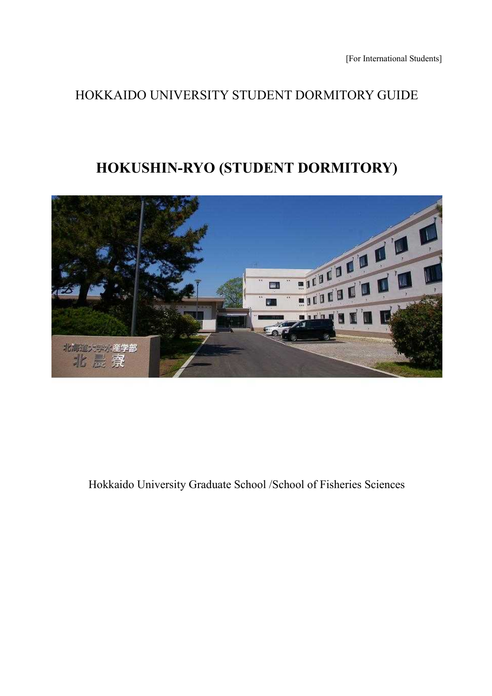## HOKKAIDO UNIVERSITY STUDENT DORMITORY GUIDE

# **HOKUSHIN-RYO (STUDENT DORMITORY)**



Hokkaido University Graduate School /School of Fisheries Sciences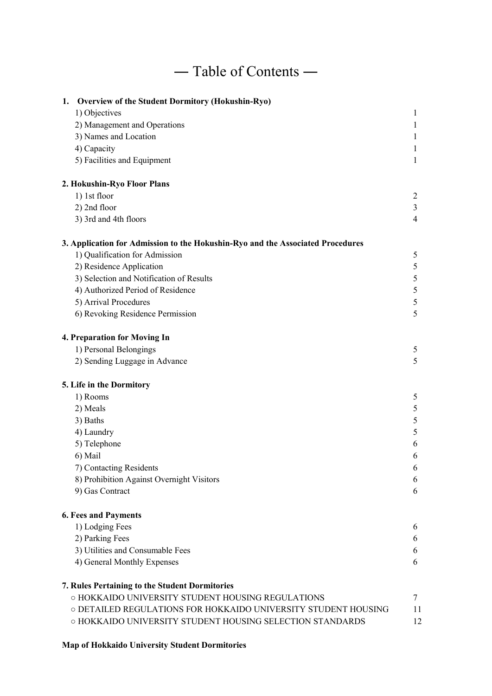# ― Table of Contents ―

| 1. Overview of the Student Dormitory (Hokushin-Ryo)                            |                |
|--------------------------------------------------------------------------------|----------------|
| 1) Objectives                                                                  | 1              |
| 2) Management and Operations                                                   | $\mathbf{1}$   |
| 3) Names and Location                                                          | 1              |
| 4) Capacity                                                                    | 1              |
| 5) Facilities and Equipment                                                    | 1              |
| 2. Hokushin-Ryo Floor Plans                                                    |                |
| 1) 1st floor                                                                   | 2              |
| 2) 2nd floor                                                                   | 3              |
| 3) 3rd and 4th floors                                                          | $\overline{4}$ |
| 3. Application for Admission to the Hokushin-Ryo and the Associated Procedures |                |
| 1) Qualification for Admission                                                 | 5              |
| 2) Residence Application                                                       | 5              |
| 3) Selection and Notification of Results                                       | 5              |
| 4) Authorized Period of Residence                                              | 5              |
| 5) Arrival Procedures                                                          | 5              |
| 6) Revoking Residence Permission                                               | 5              |
| 4. Preparation for Moving In                                                   |                |
| 1) Personal Belongings                                                         | 5              |
| 2) Sending Luggage in Advance                                                  | 5              |
| 5. Life in the Dormitory                                                       |                |
| 1) Rooms                                                                       | 5              |
| 2) Meals                                                                       | 5              |
| 3) Baths                                                                       | 5              |
| 4) Laundry                                                                     | 5              |
| 5) Telephone                                                                   | 6              |
| 6) Mail                                                                        | 6              |
| 7) Contacting Residents                                                        | 6              |
| 8) Prohibition Against Overnight Visitors                                      | 6              |
| 9) Gas Contract                                                                | 6              |
| <b>6. Fees and Payments</b>                                                    |                |
| 1) Lodging Fees                                                                | 6              |
| 2) Parking Fees                                                                | 6              |
| 3) Utilities and Consumable Fees                                               | 6              |
| 4) General Monthly Expenses                                                    | 6              |
| 7. Rules Pertaining to the Student Dormitories                                 |                |
| O HOKKAIDO UNIVERSITY STUDENT HOUSING REGULATIONS                              | 7              |
| O DETAILED REGULATIONS FOR HOKKAIDO UNIVERSITY STUDENT HOUSING                 | 11             |
| O HOKKAIDO UNIVERSITY STUDENT HOUSING SELECTION STANDARDS                      | 12             |

## **Map of Hokkaido University Student Dormitories**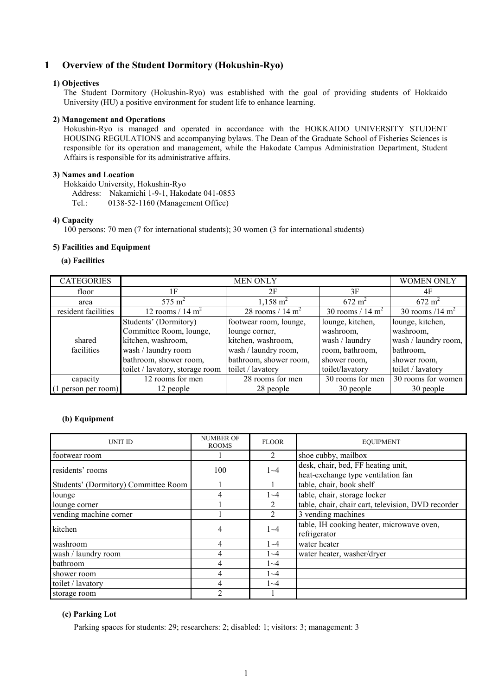## **1 Overview of the Student Dormitory (Hokushin-Ryo)**

#### **1) Objectives**

The Student Dormitory (Hokushin-Ryo) was established with the goal of providing students of Hokkaido University (HU) a positive environment for student life to enhance learning.

#### **2) Management and Operations**

Hokushin-Ryo is managed and operated in accordance with the HOKKAIDO UNIVERSITY STUDENT HOUSING REGULATIONS and accompanying bylaws. The Dean of the Graduate School of Fisheries Sciences is responsible for its operation and management, while the Hakodate Campus Administration Department, Student Affairs is responsible for its administrative affairs.

#### **3) Names and Location**

Hokkaido University, Hokushin-Ryo

Address: Nakamichi 1-9-1, Hakodate 041-0853 Tel.: 0138-52-1160 (Management Office)

#### **4) Capacity**

100 persons: 70 men (7 for international students); 30 women (3 for international students)

#### **5) Facilities and Equipment**

#### **(a) Facilities**

| <b>CATEGORIES</b>   |                                 | <b>WOMEN ONLY</b>           |                             |                      |
|---------------------|---------------------------------|-----------------------------|-----------------------------|----------------------|
| floor               | 1F                              | 2F                          | 3F                          | 4F                   |
| area                | 575 $\rm m^2$                   | $1,158 \text{ m}^2$         | $672 \text{ m}^2$           | $672 \text{ m}^2$    |
| resident facilities | 12 rooms / $14 \text{ m}^2$     | 28 rooms / $14 \text{ m}^2$ | 30 rooms / $14 \text{ m}^2$ | 30 rooms /14 $m2$    |
|                     | Students' (Dormitory)           | footwear room, lounge,      | lounge, kitchen,            | lounge, kitchen,     |
|                     | Committee Room, lounge,         | lounge corner,              | washroom,                   | washroom,            |
| shared              | kitchen, washroom,              | kitchen, washroom,          | wash / laundry              | wash / laundry room, |
| facilities          | wash / laundry room             | wash / laundry room,        | room, bathroom,             | bathroom,            |
|                     | bathroom, shower room,          | bathroom, shower room,      | shower room,                | shower room,         |
|                     | toilet / lavatory, storage room | toilet / lavatory           | toilet/lavatory             | toilet / lavatory    |
| capacity            | 12 rooms for men                | 28 rooms for men            | 30 rooms for men            | 30 rooms for women   |
| (1 person per room) | 12 people                       | 28 people                   | 30 people                   | 30 people            |

## **(b) Equipment**

| UNIT ID                              | <b>NUMBER OF</b><br><b>ROOMS</b> | <b>FLOOR</b>   | <b>EQUIPMENT</b>                                                         |
|--------------------------------------|----------------------------------|----------------|--------------------------------------------------------------------------|
| footwear room                        |                                  | 2              | shoe cubby, mailbox                                                      |
| residents' rooms                     | 100                              | $1 - 4$        | desk, chair, bed, FF heating unit,<br>heat-exchange type ventilation fan |
| Students' (Dormitory) Committee Room |                                  |                | table, chair, book shelf                                                 |
| lounge                               | 4                                | $1 - 4$        | table, chair, storage locker                                             |
| lounge corner                        |                                  | 2              | table, chair, chair cart, television, DVD recorder                       |
| vending machine corner               |                                  | $\overline{2}$ | 3 vending machines                                                       |
| kitchen                              | $\overline{4}$                   | $1 - 4$        | table, IH cooking heater, microwave oven,<br>refrigerator                |
| washroom                             | 4                                | $1 - 4$        | water heater                                                             |
| wash / laundry room                  | 4                                | $1 - 4$        | water heater, washer/dryer                                               |
| bathroom                             | 4                                | $1 - 4$        |                                                                          |
| shower room                          | 4                                | $1 - 4$        |                                                                          |
| toilet / lavatory                    | 4                                | $1 - 4$        |                                                                          |
| storage room                         | $\overline{2}$                   |                |                                                                          |

#### **(c) Parking Lot**

Parking spaces for students: 29; researchers: 2; disabled: 1; visitors: 3; management: 3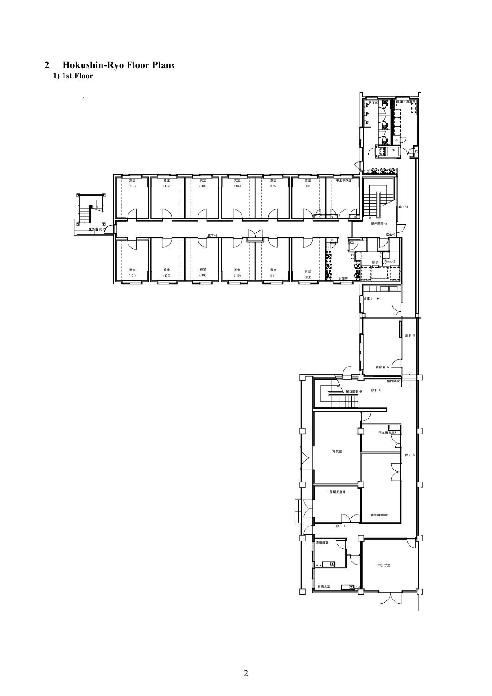**2 Hokushin-Ryo Floor Plans 1) 1st Floor**

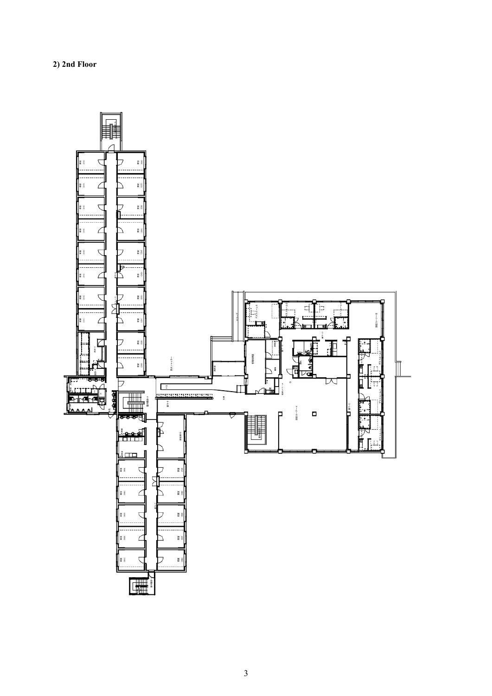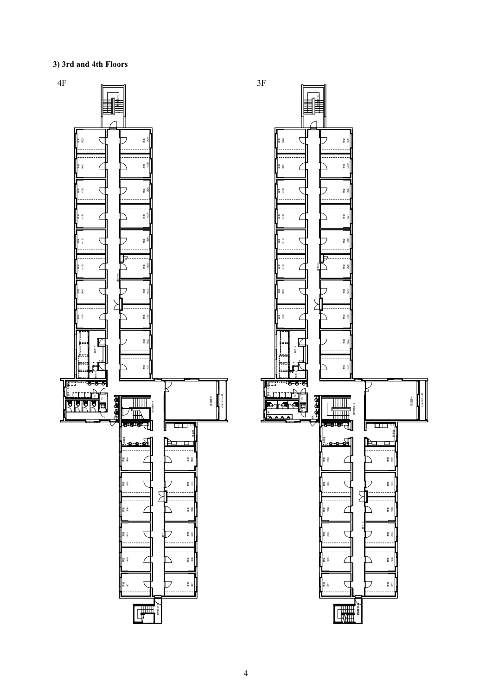**3) 3rd and 4th Floors**

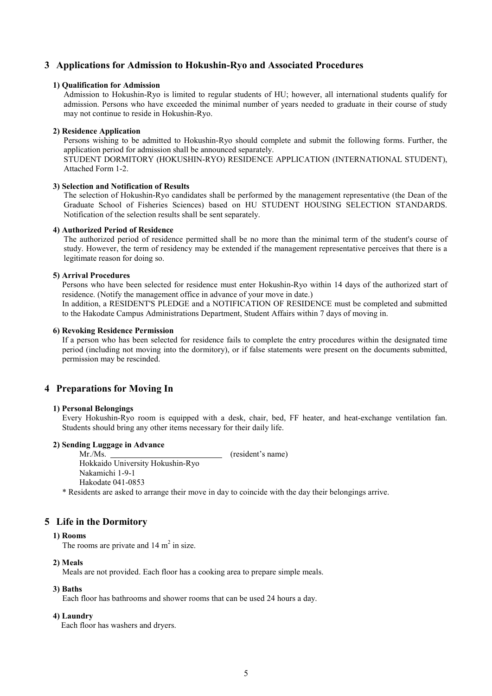## **3 Applications for Admission to Hokushin-Ryo and Associated Procedures**

#### **1) Qualification for Admission**

Admission to Hokushin-Ryo is limited to regular students of HU; however, all international students qualify for admission. Persons who have exceeded the minimal number of years needed to graduate in their course of study may not continue to reside in Hokushin-Ryo.

#### **2) Residence Application**

Persons wishing to be admitted to Hokushin-Ryo should complete and submit the following forms. Further, the application period for admission shall be announced separately.

STUDENT DORMITORY (HOKUSHIN-RYO) RESIDENCE APPLICATION (INTERNATIONAL STUDENT), Attached Form 1-2.

#### **3) Selection and Notification of Results**

The selection of Hokushin-Ryo candidates shall be performed by the management representative (the Dean of the Graduate School of Fisheries Sciences) based on HU STUDENT HOUSING SELECTION STANDARDS. Notification of the selection results shall be sent separately.

#### **4) Authorized Period of Residence**

The authorized period of residence permitted shall be no more than the minimal term of the student's course of study. However, the term of residency may be extended if the management representative perceives that there is a legitimate reason for doing so.

#### **5) Arrival Procedures**

Persons who have been selected for residence must enter Hokushin-Ryo within 14 days of the authorized start of residence. (Notify the management office in advance of your move in date.) In addition, a RESIDENT'S PLEDGE and a NOTIFICATION OF RESIDENCE must be completed and submitted to the Hakodate Campus Administrations Department, Student Affairs within 7 days of moving in.

#### **6) Revoking Residence Permission**

If a person who has been selected for residence fails to complete the entry procedures within the designated time period (including not moving into the dormitory), or if false statements were present on the documents submitted, permission may be rescinded.

## **4 Preparations for Moving In**

#### **1) Personal Belongings**

Every Hokushin-Ryo room is equipped with a desk, chair, bed, FF heater, and heat-exchange ventilation fan. Students should bring any other items necessary for their daily life.

#### **2) Sending Luggage in Advance**

Mr./Ms. (resident's name) Hokkaido University Hokushin-Ryo Nakamichi 1-9-1 Hakodate 041-0853

\* Residents are asked to arrange their move in day to coincide with the day their belongings arrive.

## **5 Life in the Dormitory**

#### **1) Rooms**

The rooms are private and  $14 \text{ m}^2$  in size.

#### **2) Meals**

Meals are not provided. Each floor has a cooking area to prepare simple meals.

#### **3) Baths**

Each floor has bathrooms and shower rooms that can be used 24 hours a day.

#### **4) Laundry**

Each floor has washers and dryers.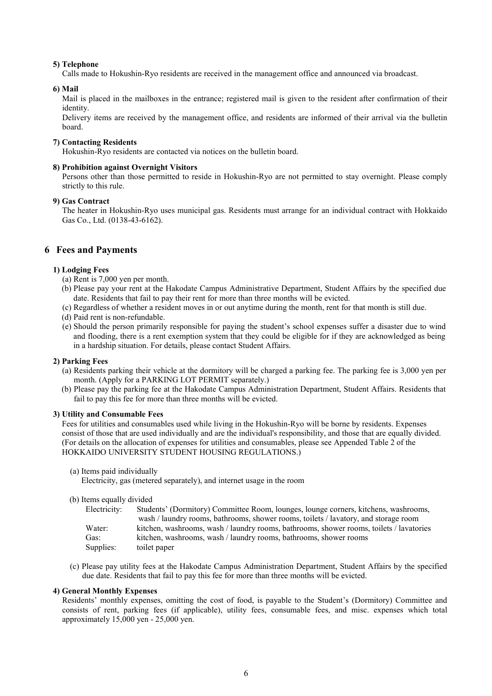#### **5) Telephone**

Calls made to Hokushin-Ryo residents are received in the management office and announced via broadcast.

#### **6) Mail**

Mail is placed in the mailboxes in the entrance; registered mail is given to the resident after confirmation of their identity.

Delivery items are received by the management office, and residents are informed of their arrival via the bulletin board.

#### **7) Contacting Residents**

Hokushin-Ryo residents are contacted via notices on the bulletin board.

#### **8) Prohibition against Overnight Visitors**

Persons other than those permitted to reside in Hokushin-Ryo are not permitted to stay overnight. Please comply strictly to this rule.

#### **9) Gas Contract**

The heater in Hokushin-Ryo uses municipal gas. Residents must arrange for an individual contract with Hokkaido Gas Co., Ltd. (0138-43-6162).

## **6 Fees and Payments**

#### **1) Lodging Fees**

- (a) Rent is 7,000 yen per month.
- (b) Please pay your rent at the Hakodate Campus Administrative Department, Student Affairs by the specified due date. Residents that fail to pay their rent for more than three months will be evicted.
- (c) Regardless of whether a resident moves in or out anytime during the month, rent for that month is still due.
- (d) Paid rent is non-refundable.
- (e) Should the person primarily responsible for paying the student's school expenses suffer a disaster due to wind and flooding, there is a rent exemption system that they could be eligible for if they are acknowledged as being in a hardship situation. For details, please contact Student Affairs.

#### **2) Parking Fees**

- (a) Residents parking their vehicle at the dormitory will be charged a parking fee. The parking fee is 3,000 yen per month. (Apply for a PARKING LOT PERMIT separately.)
- (b) Please pay the parking fee at the Hakodate Campus Administration Department, Student Affairs. Residents that fail to pay this fee for more than three months will be evicted.

#### **3) Utility and Consumable Fees**

Fees for utilities and consumables used while living in the Hokushin-Ryo will be borne by residents. Expenses consist of those that are used individually and are the individual's responsibility, and those that are equally divided. (For details on the allocation of expenses for utilities and consumables, please see Appended Table 2 of the HOKKAIDO UNIVERSITY STUDENT HOUSING REGULATIONS.)

(a) Items paid individually

Electricity, gas (metered separately), and internet usage in the room

(b) Items equally divided

| Electricity: | Students' (Dormitory) Committee Room, lounges, lounge corners, kitchens, washrooms,     |
|--------------|-----------------------------------------------------------------------------------------|
|              | wash / laundry rooms, bathrooms, shower rooms, toilets / lavatory, and storage room     |
| Water:       | kitchen, washrooms, wash / laundry rooms, bathrooms, shower rooms, toilets / lavatories |
| Gas:         | kitchen, washrooms, wash / laundry rooms, bathrooms, shower rooms                       |
| Supplies:    | toilet paper                                                                            |

(c) Please pay utility fees at the Hakodate Campus Administration Department, Student Affairs by the specified due date. Residents that fail to pay this fee for more than three months will be evicted.

#### **4) General Monthly Expenses**

Residents' monthly expenses, omitting the cost of food, is payable to the Student's (Dormitory) Committee and consists of rent, parking fees (if applicable), utility fees, consumable fees, and misc. expenses which total approximately 15,000 yen - 25,000 yen.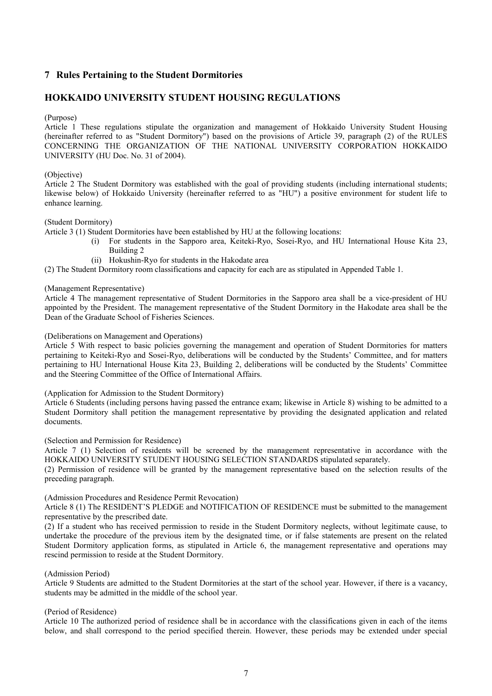## **7 Rules Pertaining to the Student Dormitories**

## **HOKKAIDO UNIVERSITY STUDENT HOUSING REGULATIONS**

#### (Purpose)

Article 1 These regulations stipulate the organization and management of Hokkaido University Student Housing (hereinafter referred to as "Student Dormitory") based on the provisions of Article 39, paragraph (2) of the RULES CONCERNING THE ORGANIZATION OF THE NATIONAL UNIVERSITY CORPORATION HOKKAIDO UNIVERSITY (HU Doc. No. 31 of 2004).

#### (Objective)

Article 2 The Student Dormitory was established with the goal of providing students (including international students; likewise below) of Hokkaido University (hereinafter referred to as "HU") a positive environment for student life to enhance learning.

#### (Student Dormitory)

Article 3 (1) Student Dormitories have been established by HU at the following locations:

- (i) For students in the Sapporo area, Keiteki-Ryo, Sosei-Ryo, and HU International House Kita 23, Building 2
- (ii) Hokushin-Ryo for students in the Hakodate area

(2) The Student Dormitory room classifications and capacity for each are as stipulated in Appended Table 1.

#### (Management Representative)

Article 4 The management representative of Student Dormitories in the Sapporo area shall be a vice-president of HU appointed by the President. The management representative of the Student Dormitory in the Hakodate area shall be the Dean of the Graduate School of Fisheries Sciences.

#### (Deliberations on Management and Operations)

Article 5 With respect to basic policies governing the management and operation of Student Dormitories for matters pertaining to Keiteki-Ryo and Sosei-Ryo, deliberations will be conducted by the Students' Committee, and for matters pertaining to HU International House Kita 23, Building 2, deliberations will be conducted by the Students' Committee and the Steering Committee of the Office of International Affairs.

#### (Application for Admission to the Student Dormitory)

Article 6 Students (including persons having passed the entrance exam; likewise in Article 8) wishing to be admitted to a Student Dormitory shall petition the management representative by providing the designated application and related documents.

#### (Selection and Permission for Residence)

Article 7 (1) Selection of residents will be screened by the management representative in accordance with the HOKKAIDO UNIVERSITY STUDENT HOUSING SELECTION STANDARDS stipulated separately.

(2) Permission of residence will be granted by the management representative based on the selection results of the preceding paragraph.

#### (Admission Procedures and Residence Permit Revocation)

Article 8 (1) The RESIDENT'S PLEDGE and NOTIFICATION OF RESIDENCE must be submitted to the management representative by the prescribed date.

(2) If a student who has received permission to reside in the Student Dormitory neglects, without legitimate cause, to undertake the procedure of the previous item by the designated time, or if false statements are present on the related Student Dormitory application forms, as stipulated in Article 6, the management representative and operations may rescind permission to reside at the Student Dormitory.

#### (Admission Period)

Article 9 Students are admitted to the Student Dormitories at the start of the school year. However, if there is a vacancy, students may be admitted in the middle of the school year.

#### (Period of Residence)

Article 10 The authorized period of residence shall be in accordance with the classifications given in each of the items below, and shall correspond to the period specified therein. However, these periods may be extended under special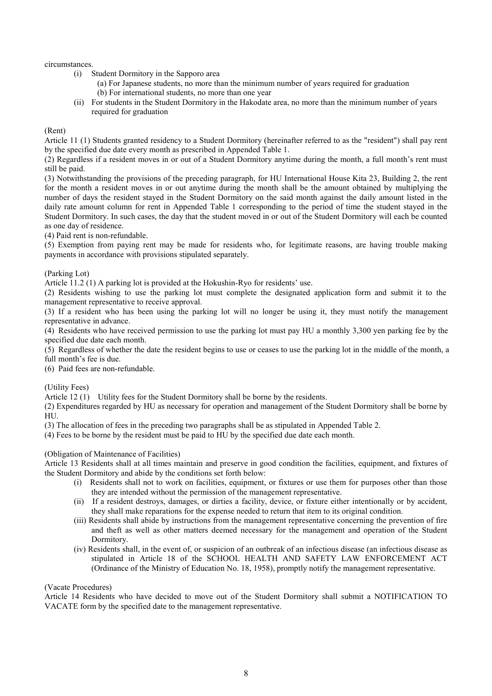#### circumstances.

- (i) Student Dormitory in the Sapporo area
	- (a) For Japanese students, no more than the minimum number of years required for graduation (b) For international students, no more than one year
- (ii) For students in the Student Dormitory in the Hakodate area, no more than the minimum number of years required for graduation

#### (Rent)

Article 11 (1) Students granted residency to a Student Dormitory (hereinafter referred to as the "resident") shall pay rent by the specified due date every month as prescribed in Appended Table 1.

(2) Regardless if a resident moves in or out of a Student Dormitory anytime during the month, a full month's rent must still be paid.

(3) Notwithstanding the provisions of the preceding paragraph, for HU International House Kita 23, Building 2, the rent for the month a resident moves in or out anytime during the month shall be the amount obtained by multiplying the number of days the resident stayed in the Student Dormitory on the said month against the daily amount listed in the daily rate amount column for rent in Appended Table 1 corresponding to the period of time the student stayed in the Student Dormitory. In such cases, the day that the student moved in or out of the Student Dormitory will each be counted as one day of residence.

(4) Paid rent is non-refundable.

(5) Exemption from paying rent may be made for residents who, for legitimate reasons, are having trouble making payments in accordance with provisions stipulated separately.

(Parking Lot)

Article 11.2 (1) A parking lot is provided at the Hokushin-Ryo for residents' use.

(2) Residents wishing to use the parking lot must complete the designated application form and submit it to the management representative to receive approval.

(3) If a resident who has been using the parking lot will no longer be using it, they must notify the management representative in advance.

(4) Residents who have received permission to use the parking lot must pay HU a monthly 3,300 yen parking fee by the specified due date each month.

(5) Regardless of whether the date the resident begins to use or ceases to use the parking lot in the middle of the month, a

- full month's fee is due.
- (6) Paid fees are non-refundable.

(Utility Fees)

Article 12 (1) Utility fees for the Student Dormitory shall be borne by the residents.

(2) Expenditures regarded by HU as necessary for operation and management of the Student Dormitory shall be borne by HU.

(3) The allocation of fees in the preceding two paragraphs shall be as stipulated in Appended Table 2.

(4) Fees to be borne by the resident must be paid to HU by the specified due date each month.

#### (Obligation of Maintenance of Facilities)

Article 13 Residents shall at all times maintain and preserve in good condition the facilities, equipment, and fixtures of the Student Dormitory and abide by the conditions set forth below:

- (i) Residents shall not to work on facilities, equipment, or fixtures or use them for purposes other than those they are intended without the permission of the management representative.
- (ii) If a resident destroys, damages, or dirties a facility, device, or fixture either intentionally or by accident, they shall make reparations for the expense needed to return that item to its original condition.
- (iii) Residents shall abide by instructions from the management representative concerning the prevention of fire and theft as well as other matters deemed necessary for the management and operation of the Student Dormitory.
- (iv) Residents shall, in the event of, or suspicion of an outbreak of an infectious disease (an infectious disease as stipulated in Article 18 of the SCHOOL HEALTH AND SAFETY LAW ENFORCEMENT ACT (Ordinance of the Ministry of Education No. 18, 1958), promptly notify the management representative.

#### (Vacate Procedures)

Article 14 Residents who have decided to move out of the Student Dormitory shall submit a NOTIFICATION TO VACATE form by the specified date to the management representative.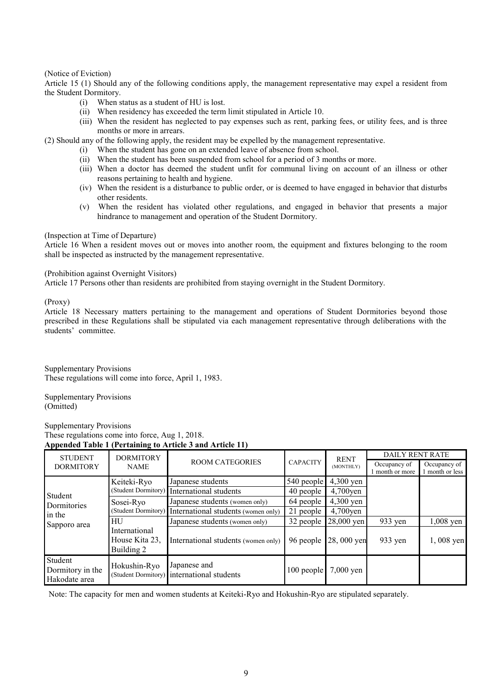#### (Notice of Eviction)

Article 15 (1) Should any of the following conditions apply, the management representative may expel a resident from the Student Dormitory.

- (i) When status as a student of HU is lost.
- (ii) When residency has exceeded the term limit stipulated in Article 10.
- (iii) When the resident has neglected to pay expenses such as rent, parking fees, or utility fees, and is three months or more in arrears.

(2) Should any of the following apply, the resident may be expelled by the management representative.

- (i) When the student has gone on an extended leave of absence from school.
- (ii) When the student has been suspended from school for a period of 3 months or more.
- (iii) When a doctor has deemed the student unfit for communal living on account of an illness or other reasons pertaining to health and hygiene.
- (iv) When the resident is a disturbance to public order, or is deemed to have engaged in behavior that disturbs other residents.
- (v) When the resident has violated other regulations, and engaged in behavior that presents a major hindrance to management and operation of the Student Dormitory.

#### (Inspection at Time of Departure)

Article 16 When a resident moves out or moves into another room, the equipment and fixtures belonging to the room shall be inspected as instructed by the management representative.

#### (Prohibition against Overnight Visitors)

Article 17 Persons other than residents are prohibited from staying overnight in the Student Dormitory.

(Proxy)

Article 18 Necessary matters pertaining to the management and operations of Student Dormitories beyond those prescribed in these Regulations shall be stipulated via each management representative through deliberations with the students' committee.

Supplementary Provisions These regulations will come into force, April 1, 1983.

Supplementary Provisions (Omitted)

Supplementary Provisions These regulations come into force, Aug 1, 2018. **Appended Table 1 (Pertaining to Article 3 and Article 11)** 

| <b>STUDENT</b>                               | <b>DORMITORY</b><br><b>NAME</b>               | <b>ROOM CATEGORIES</b>                                     | <b>CAPACITY</b> | <b>RENT</b><br>(MONTHLY) | <b>DAILY RENT RATE</b> |               |  |
|----------------------------------------------|-----------------------------------------------|------------------------------------------------------------|-----------------|--------------------------|------------------------|---------------|--|
| <b>DORMITORY</b>                             |                                               |                                                            |                 |                          | Occupancy of           | Occupancy of  |  |
|                                              |                                               |                                                            |                 |                          | month or more          | month or less |  |
|                                              | Keiteki-Ryo                                   | Japanese students                                          | 540 people      | $4,300$ yen              |                        |               |  |
| Student                                      |                                               | (Student Dormitory) International students                 | 40 people       | $4,700$ yen              |                        |               |  |
| Dormitories                                  | Sosei-Ryo                                     | Japanese students (women only)                             | 64 people       | $4,300$ yen              |                        |               |  |
| in the                                       |                                               | (Student Dormitory) International students (women only)    | 21 people       | $4,700$ yen              |                        |               |  |
| Sapporo area                                 | HU                                            | Japanese students (women only)                             | 32 people       | $28,000$ yen             | $933$ yen              | $1,008$ yen   |  |
|                                              | International<br>House Kita 23.<br>Building 2 | International students (women only)                        | 96 people       | 28,000 yen               | $933$ yen              | 1,008 yen     |  |
| Student<br>Dormitory in the<br>Hakodate area | Hokushin-Ryo                                  | Japanese and<br>(Student Dormitory) international students | 100 people      | $7,000$ yen              |                        |               |  |

Note: The capacity for men and women students at Keiteki-Ryo and Hokushin-Ryo are stipulated separately.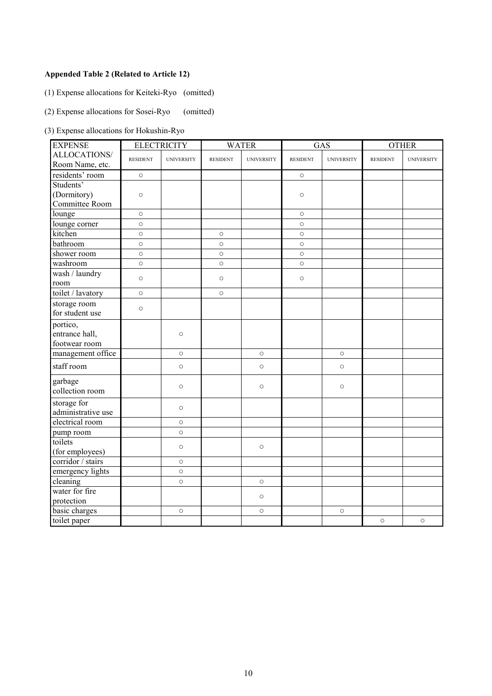## **Appended Table 2 (Related to Article 12)**

(1) Expense allocations for Keiteki-Ryo (omitted)

(2) Expense allocations for Sosei-Ryo (omitted)

(3) Expense allocations for Hokushin-Ryo

| <b>EXPENSE</b>                    |                 | <b>ELECTRICITY</b> |                 | <b>WATER</b>      | GAS             |                   | <b>OTHER</b>    |                   |
|-----------------------------------|-----------------|--------------------|-----------------|-------------------|-----------------|-------------------|-----------------|-------------------|
| ALLOCATIONS/                      | <b>RESIDENT</b> | <b>UNIVERSITY</b>  | <b>RESIDENT</b> | <b>UNIVERSITY</b> | <b>RESIDENT</b> | <b>UNIVERSITY</b> | <b>RESIDENT</b> | <b>UNIVERSITY</b> |
| Room Name, etc.                   |                 |                    |                 |                   |                 |                   |                 |                   |
| residents' room                   | $\circ$         |                    |                 |                   | $\circ$         |                   |                 |                   |
| Students'                         |                 |                    |                 |                   |                 |                   |                 |                   |
| (Dormitory)                       | $\circ$         |                    |                 |                   | $\circ$         |                   |                 |                   |
| Committee Room                    |                 |                    |                 |                   |                 |                   |                 |                   |
| lounge                            | $\circ$         |                    |                 |                   | $\circ$         |                   |                 |                   |
| lounge corner                     | $\circ$         |                    |                 |                   | $\circ$         |                   |                 |                   |
| kitchen                           | $\circ$         |                    | $\circ$         |                   | $\circ$         |                   |                 |                   |
| bathroom                          | $\circ$         |                    | $\circ$         |                   | $\circ$         |                   |                 |                   |
| shower room                       | $\circ$         |                    | $\circ$         |                   | $\circ$         |                   |                 |                   |
| washroom                          | $\circ$         |                    | $\circ$         |                   | $\circ$         |                   |                 |                   |
| wash / laundry                    | $\circ$         |                    | $\circ$         |                   | $\circ$         |                   |                 |                   |
| room                              |                 |                    |                 |                   |                 |                   |                 |                   |
| toilet / lavatory                 | $\circ$         |                    | $\circ$         |                   |                 |                   |                 |                   |
| storage room                      |                 |                    |                 |                   |                 |                   |                 |                   |
| for student use                   | $\circ$         |                    |                 |                   |                 |                   |                 |                   |
| portico,                          |                 |                    |                 |                   |                 |                   |                 |                   |
| entrance hall,                    |                 | $\circ$            |                 |                   |                 |                   |                 |                   |
| footwear room                     |                 |                    |                 |                   |                 |                   |                 |                   |
| management office                 |                 | $\circ$            |                 | $\circ$           |                 | $\circ$           |                 |                   |
| staff room                        |                 | $\circ$            |                 | $\bigcirc$        |                 | $\circ$           |                 |                   |
| garbage<br>collection room        |                 | $\circ$            |                 | $\circ$           |                 | $\circ$           |                 |                   |
| storage for<br>administrative use |                 | $\circ$            |                 |                   |                 |                   |                 |                   |
| electrical room                   |                 | $\circ$            |                 |                   |                 |                   |                 |                   |
| pump room                         |                 | $\circ$            |                 |                   |                 |                   |                 |                   |
| toilets                           |                 | $\circ$            |                 | $\circ$           |                 |                   |                 |                   |
| (for employees)                   |                 |                    |                 |                   |                 |                   |                 |                   |
| corridor / stairs                 |                 | $\circ$            |                 |                   |                 |                   |                 |                   |
| emergency lights                  |                 | $\circ$            |                 |                   |                 |                   |                 |                   |
| cleaning                          |                 | $\circ$            |                 | $\circ$           |                 |                   |                 |                   |
| water for fire                    |                 |                    |                 | $\bigcirc$        |                 |                   |                 |                   |
| protection                        |                 |                    |                 |                   |                 |                   |                 |                   |
| basic charges                     |                 | $\circ$            |                 | $\circ$           |                 | $\circ$           |                 |                   |
| toilet paper                      |                 |                    |                 |                   |                 |                   | $\circ$         | $\circ$           |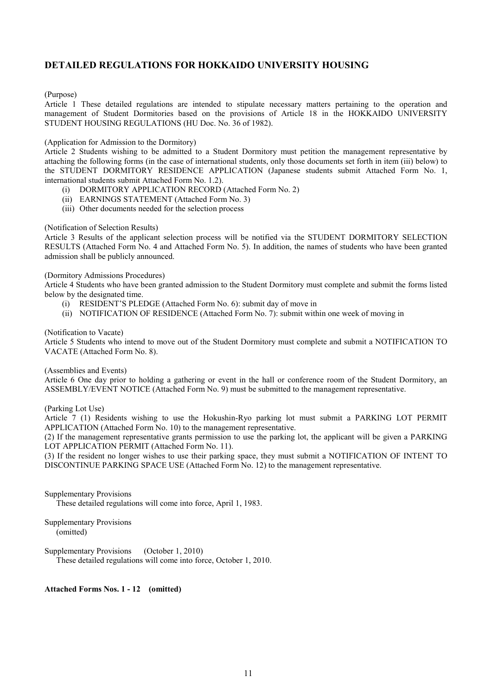## **DETAILED REGULATIONS FOR HOKKAIDO UNIVERSITY HOUSING**

#### (Purpose)

Article 1 These detailed regulations are intended to stipulate necessary matters pertaining to the operation and management of Student Dormitories based on the provisions of Article 18 in the HOKKAIDO UNIVERSITY STUDENT HOUSING REGULATIONS (HU Doc. No. 36 of 1982).

#### (Application for Admission to the Dormitory)

Article 2 Students wishing to be admitted to a Student Dormitory must petition the management representative by attaching the following forms (in the case of international students, only those documents set forth in item (iii) below) to the STUDENT DORMITORY RESIDENCE APPLICATION (Japanese students submit Attached Form No. 1, international students submit Attached Form No. 1.2).

- (i) DORMITORY APPLICATION RECORD (Attached Form No. 2)
- (ii) EARNINGS STATEMENT (Attached Form No. 3)
- (iii) Other documents needed for the selection process

#### (Notification of Selection Results)

Article 3 Results of the applicant selection process will be notified via the STUDENT DORMITORY SELECTION RESULTS (Attached Form No. 4 and Attached Form No. 5). In addition, the names of students who have been granted admission shall be publicly announced.

#### (Dormitory Admissions Procedures)

Article 4 Students who have been granted admission to the Student Dormitory must complete and submit the forms listed below by the designated time.

- (i) RESIDENT'S PLEDGE (Attached Form No. 6): submit day of move in
- (ii) NOTIFICATION OF RESIDENCE (Attached Form No. 7): submit within one week of moving in

#### (Notification to Vacate)

Article 5 Students who intend to move out of the Student Dormitory must complete and submit a NOTIFICATION TO VACATE (Attached Form No. 8).

#### (Assemblies and Events)

Article 6 One day prior to holding a gathering or event in the hall or conference room of the Student Dormitory, an ASSEMBLY/EVENT NOTICE (Attached Form No. 9) must be submitted to the management representative.

#### (Parking Lot Use)

Article 7 (1) Residents wishing to use the Hokushin-Ryo parking lot must submit a PARKING LOT PERMIT APPLICATION (Attached Form No. 10) to the management representative.

(2) If the management representative grants permission to use the parking lot, the applicant will be given a PARKING LOT APPLICATION PERMIT (Attached Form No. 11).

(3) If the resident no longer wishes to use their parking space, they must submit a NOTIFICATION OF INTENT TO DISCONTINUE PARKING SPACE USE (Attached Form No. 12) to the management representative.

Supplementary Provisions These detailed regulations will come into force, April 1, 1983.

Supplementary Provisions (omitted)

Supplementary Provisions (October 1, 2010) These detailed regulations will come into force, October 1, 2010.

#### **Attached Forms Nos. 1 - 12 (omitted)**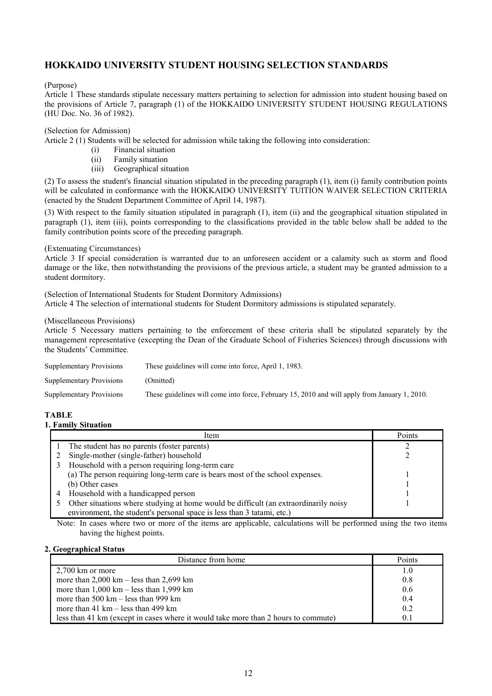## **HOKKAIDO UNIVERSITY STUDENT HOUSING SELECTION STANDARDS**

(Purpose)

Article 1 These standards stipulate necessary matters pertaining to selection for admission into student housing based on the provisions of Article 7, paragraph (1) of the HOKKAIDO UNIVERSITY STUDENT HOUSING REGULATIONS (HU Doc. No. 36 of 1982).

#### (Selection for Admission)

Article 2 (1) Students will be selected for admission while taking the following into consideration:

- (i) Financial situation
- (ii) Family situation
- (iii) Geographical situation

(2) To assess the student's financial situation stipulated in the preceding paragraph (1), item (i) family contribution points will be calculated in conformance with the HOKKAIDO UNIVERSITY TUITION WAIVER SELECTION CRITERIA (enacted by the Student Department Committee of April 14, 1987).

(3) With respect to the family situation stipulated in paragraph (1), item (ii) and the geographical situation stipulated in paragraph (1), item (iii), points corresponding to the classifications provided in the table below shall be added to the family contribution points score of the preceding paragraph.

(Extenuating Circumstances)

Article 3 If special consideration is warranted due to an unforeseen accident or a calamity such as storm and flood damage or the like, then notwithstanding the provisions of the previous article, a student may be granted admission to a student dormitory.

(Selection of International Students for Student Dormitory Admissions) Article 4 The selection of international students for Student Dormitory admissions is stipulated separately.

## (Miscellaneous Provisions)

Article 5 Necessary matters pertaining to the enforcement of these criteria shall be stipulated separately by the management representative (excepting the Dean of the Graduate School of Fisheries Sciences) through discussions with the Students' Committee.

| <b>Supplementary Provisions</b> | These guidelines will come into force, April 1, 1983.                                         |
|---------------------------------|-----------------------------------------------------------------------------------------------|
| <b>Supplementary Provisions</b> | (Omitted)                                                                                     |
| <b>Supplementary Provisions</b> | These guidelines will come into force, February 15, 2010 and will apply from January 1, 2010. |

## **TABLE**

#### **1. Family Situation**

| Item                                                                                 | Points |
|--------------------------------------------------------------------------------------|--------|
| The student has no parents (foster parents)                                          |        |
| Single-mother (single-father) household                                              |        |
| Household with a person requiring long-term care                                     |        |
| (a) The person requiring long-term care is bears most of the school expenses.        |        |
| (b) Other cases                                                                      |        |
| Household with a handicapped person                                                  |        |
| Other situations where studying at home would be difficult (an extraordinarily noisy |        |
| environment, the student's personal space is less than 3 tatami, etc.)               |        |

Note: In cases where two or more of the items are applicable, calculations will be performed using the two items having the highest points.

#### **2. Geographical Status**

| Distance from home                                                                 | Points |
|------------------------------------------------------------------------------------|--------|
| $2,700$ km or more                                                                 | 1.0    |
| more than $2,000 \text{ km} - \text{less}$ than $2,699 \text{ km}$                 | 0.8    |
| more than $1,000 \text{ km}$ – less than $1,999 \text{ km}$                        | 0.6    |
| more than $500 \text{ km} - \text{less}$ than 999 km                               | 0.4    |
| more than $41 \text{ km} - \text{less}$ than $499 \text{ km}$                      | 0.2    |
| less than 41 km (except in cases where it would take more than 2 hours to commute) | 0.1    |